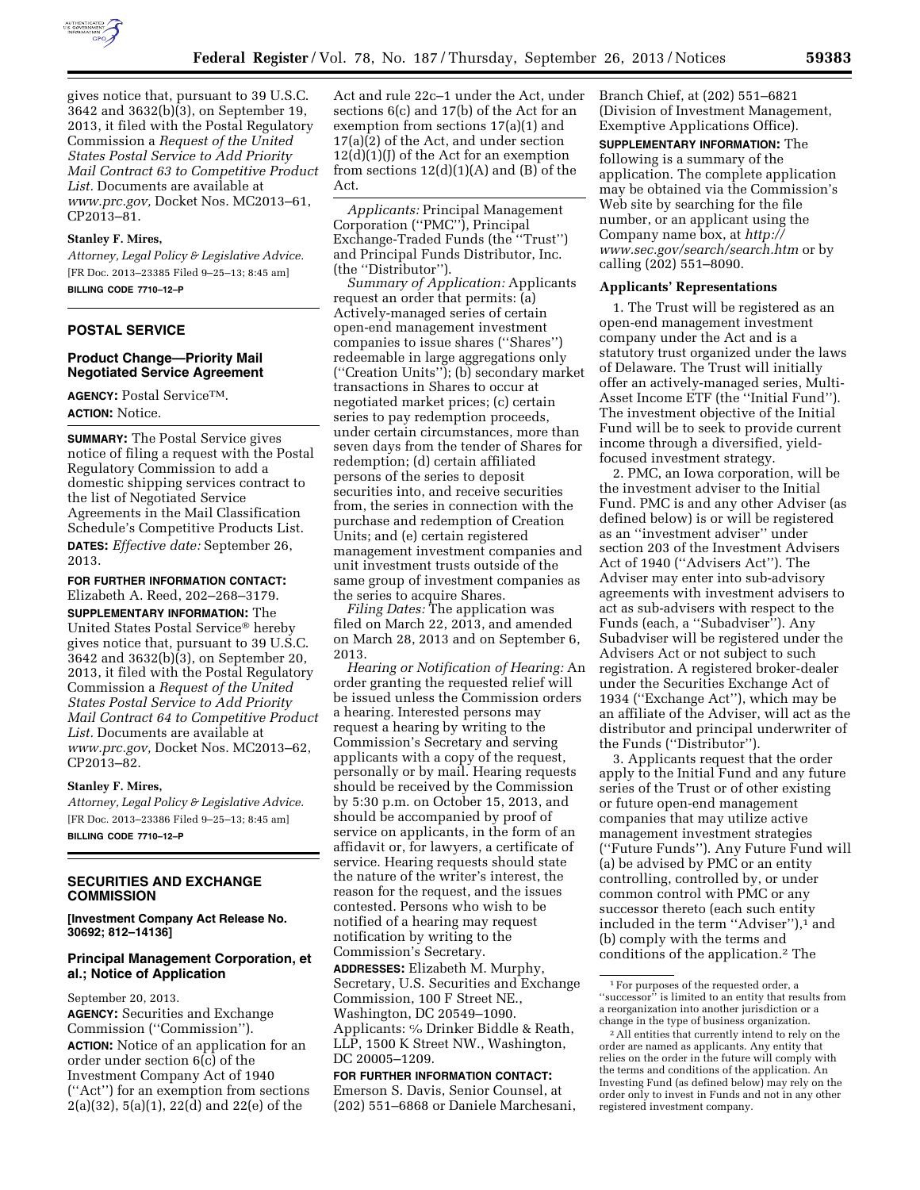

gives notice that, pursuant to 39 U.S.C. 3642 and 3632(b)(3), on September 19, 2013, it filed with the Postal Regulatory Commission a *Request of the United States Postal Service to Add Priority Mail Contract 63 to Competitive Product List.* Documents are available at *[www.prc.gov,](http://www.prc.gov)* Docket Nos. MC2013–61, CP2013–81.

#### **Stanley F. Mires,**

*Attorney, Legal Policy & Legislative Advice.*  [FR Doc. 2013–23385 Filed 9–25–13; 8:45 am] **BILLING CODE 7710–12–P** 

## **POSTAL SERVICE**

## **Product Change—Priority Mail Negotiated Service Agreement**

**AGENCY:** Postal ServiceTM. **ACTION:** Notice.

**SUMMARY:** The Postal Service gives notice of filing a request with the Postal Regulatory Commission to add a domestic shipping services contract to the list of Negotiated Service Agreements in the Mail Classification Schedule's Competitive Products List. **DATES:** *Effective date:* September 26, 2013.

**FOR FURTHER INFORMATION CONTACT:**  Elizabeth A. Reed, 202–268–3179. **SUPPLEMENTARY INFORMATION:** The United States Postal Service® hereby gives notice that, pursuant to 39 U.S.C. 3642 and 3632(b)(3), on September 20, 2013, it filed with the Postal Regulatory Commission a *Request of the United States Postal Service to Add Priority Mail Contract 64 to Competitive Product List.* Documents are available at *[www.prc.gov,](http://www.prc.gov)* Docket Nos. MC2013–62, CP2013–82.

#### **Stanley F. Mires,**

*Attorney, Legal Policy & Legislative Advice.*  [FR Doc. 2013–23386 Filed 9–25–13; 8:45 am] **BILLING CODE 7710–12–P** 

## **SECURITIES AND EXCHANGE COMMISSION**

**[Investment Company Act Release No. 30692; 812–14136]** 

## **Principal Management Corporation, et al.; Notice of Application**

September 20, 2013.

**AGENCY:** Securities and Exchange Commission (''Commission''). **ACTION:** Notice of an application for an order under section 6(c) of the Investment Company Act of 1940 (''Act'') for an exemption from sections 2(a)(32), 5(a)(1), 22(d) and 22(e) of the

Act and rule 22c–1 under the Act, under sections 6(c) and 17(b) of the Act for an exemption from sections 17(a)(1) and 17(a)(2) of the Act, and under section  $12(d)(1)(J)$  of the Act for an exemption from sections  $12(d)(1)(A)$  and  $(B)$  of the Act.

*Applicants:* Principal Management Corporation (''PMC''), Principal Exchange-Traded Funds (the ''Trust'') and Principal Funds Distributor, Inc. (the ''Distributor'').

*Summary of Application:* Applicants request an order that permits: (a) Actively-managed series of certain open-end management investment companies to issue shares (''Shares'') redeemable in large aggregations only (''Creation Units''); (b) secondary market transactions in Shares to occur at negotiated market prices; (c) certain series to pay redemption proceeds, under certain circumstances, more than seven days from the tender of Shares for redemption; (d) certain affiliated persons of the series to deposit securities into, and receive securities from, the series in connection with the purchase and redemption of Creation Units; and (e) certain registered management investment companies and unit investment trusts outside of the same group of investment companies as the series to acquire Shares.

*Filing Dates:* The application was filed on March 22, 2013, and amended on March 28, 2013 and on September 6, 2013.

*Hearing or Notification of Hearing:* An order granting the requested relief will be issued unless the Commission orders a hearing. Interested persons may request a hearing by writing to the Commission's Secretary and serving applicants with a copy of the request, personally or by mail. Hearing requests should be received by the Commission by 5:30 p.m. on October 15, 2013, and should be accompanied by proof of service on applicants, in the form of an affidavit or, for lawyers, a certificate of service. Hearing requests should state the nature of the writer's interest, the reason for the request, and the issues contested. Persons who wish to be notified of a hearing may request notification by writing to the Commission's Secretary.

**ADDRESSES:** Elizabeth M. Murphy, Secretary, U.S. Securities and Exchange Commission, 100 F Street NE., Washington, DC 20549–1090. Applicants: c⁄o Drinker Biddle & Reath, LLP, 1500 K Street NW., Washington, DC 20005–1209.

## **FOR FURTHER INFORMATION CONTACT:**  Emerson S. Davis, Senior Counsel, at (202) 551–6868 or Daniele Marchesani,

Branch Chief, at (202) 551–6821 (Division of Investment Management, Exemptive Applications Office).

**SUPPLEMENTARY INFORMATION:** The following is a summary of the application. The complete application may be obtained via the Commission's Web site by searching for the file number, or an applicant using the Company name box, at *[http://](http://www.sec.gov/search/search.htm) [www.sec.gov/search/search.htm](http://www.sec.gov/search/search.htm)* or by calling (202) 551–8090.

## **Applicants' Representations**

1. The Trust will be registered as an open-end management investment company under the Act and is a statutory trust organized under the laws of Delaware. The Trust will initially offer an actively-managed series, Multi-Asset Income ETF (the ''Initial Fund''). The investment objective of the Initial Fund will be to seek to provide current income through a diversified, yieldfocused investment strategy.

2. PMC, an Iowa corporation, will be the investment adviser to the Initial Fund. PMC is and any other Adviser (as defined below) is or will be registered as an ''investment adviser'' under section 203 of the Investment Advisers Act of 1940 (''Advisers Act''). The Adviser may enter into sub-advisory agreements with investment advisers to act as sub-advisers with respect to the Funds (each, a ''Subadviser''). Any Subadviser will be registered under the Advisers Act or not subject to such registration. A registered broker-dealer under the Securities Exchange Act of 1934 (''Exchange Act''), which may be an affiliate of the Adviser, will act as the distributor and principal underwriter of the Funds (''Distributor'').

3. Applicants request that the order apply to the Initial Fund and any future series of the Trust or of other existing or future open-end management companies that may utilize active management investment strategies (''Future Funds''). Any Future Fund will (a) be advised by PMC or an entity controlling, controlled by, or under common control with PMC or any successor thereto (each such entity included in the term "Adviser"),<sup>1</sup> and (b) comply with the terms and conditions of the application.2 The

<sup>1</sup>For purposes of the requested order, a ''successor'' is limited to an entity that results from a reorganization into another jurisdiction or a change in the type of business organization.

<sup>2</sup>All entities that currently intend to rely on the order are named as applicants. Any entity that relies on the order in the future will comply with the terms and conditions of the application. An Investing Fund (as defined below) may rely on the order only to invest in Funds and not in any other registered investment company.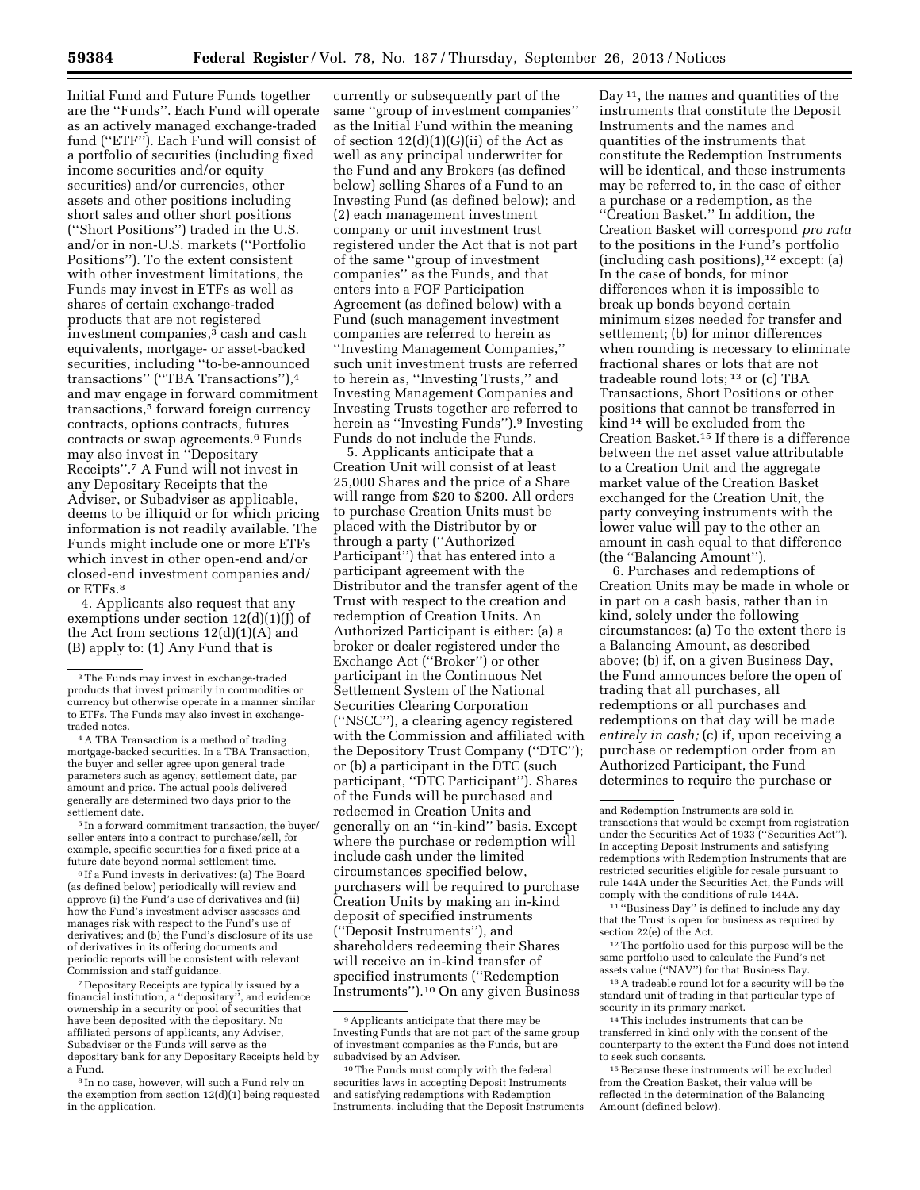Initial Fund and Future Funds together are the ''Funds''. Each Fund will operate as an actively managed exchange-traded fund ("ETF"). Each Fund will consist of a portfolio of securities (including fixed income securities and/or equity securities) and/or currencies, other assets and other positions including short sales and other short positions (''Short Positions'') traded in the U.S. and/or in non-U.S. markets (''Portfolio Positions''). To the extent consistent with other investment limitations, the Funds may invest in ETFs as well as shares of certain exchange-traded products that are not registered investment companies,3 cash and cash equivalents, mortgage- or asset-backed securities, including ''to-be-announced transactions'' (''TBA Transactions''),4 and may engage in forward commitment transactions,<sup>5</sup> forward foreign currency contracts, options contracts, futures contracts or swap agreements.6 Funds may also invest in ''Depositary Receipts''.7 A Fund will not invest in any Depositary Receipts that the Adviser, or Subadviser as applicable, deems to be illiquid or for which pricing information is not readily available. The Funds might include one or more ETFs which invest in other open-end and/or closed-end investment companies and/ or ETFs.8

4. Applicants also request that any exemptions under section  $12(d)(1)(J)$  of the Act from sections  $12(d)(1)(A)$  and (B) apply to: (1) Any Fund that is

5 In a forward commitment transaction, the buyer/ seller enters into a contract to purchase/sell, for example, specific securities for a fixed price at a future date beyond normal settlement time.

6 If a Fund invests in derivatives: (a) The Board (as defined below) periodically will review and approve (i) the Fund's use of derivatives and (ii) how the Fund's investment adviser assesses and manages risk with respect to the Fund's use of derivatives; and (b) the Fund's disclosure of its use of derivatives in its offering documents and periodic reports will be consistent with relevant Commission and staff guidance.

7 Depositary Receipts are typically issued by a financial institution, a ''depositary'', and evidence ownership in a security or pool of securities that have been deposited with the depositary. No affiliated persons of applicants, any Adviser, Subadviser or the Funds will serve as the depositary bank for any Depositary Receipts held by a Fund.

currently or subsequently part of the same ''group of investment companies'' as the Initial Fund within the meaning of section 12(d)(1)(G)(ii) of the Act as well as any principal underwriter for the Fund and any Brokers (as defined below) selling Shares of a Fund to an Investing Fund (as defined below); and (2) each management investment company or unit investment trust registered under the Act that is not part of the same ''group of investment companies'' as the Funds, and that enters into a FOF Participation Agreement (as defined below) with a Fund (such management investment companies are referred to herein as ''Investing Management Companies,'' such unit investment trusts are referred to herein as, ''Investing Trusts,'' and Investing Management Companies and Investing Trusts together are referred to herein as ''Investing Funds'').9 Investing Funds do not include the Funds.

5. Applicants anticipate that a Creation Unit will consist of at least 25,000 Shares and the price of a Share will range from \$20 to \$200. All orders to purchase Creation Units must be placed with the Distributor by or through a party (''Authorized Participant'') that has entered into a participant agreement with the Distributor and the transfer agent of the Trust with respect to the creation and redemption of Creation Units. An Authorized Participant is either: (a) a broker or dealer registered under the Exchange Act (''Broker'') or other participant in the Continuous Net Settlement System of the National Securities Clearing Corporation (''NSCC''), a clearing agency registered with the Commission and affiliated with the Depository Trust Company (''DTC''); or (b) a participant in the DTC (such participant, ''DTC Participant''). Shares of the Funds will be purchased and redeemed in Creation Units and generally on an ''in-kind'' basis. Except where the purchase or redemption will include cash under the limited circumstances specified below, purchasers will be required to purchase Creation Units by making an in-kind deposit of specified instruments (''Deposit Instruments''), and shareholders redeeming their Shares will receive an in-kind transfer of specified instruments (''Redemption Instruments'').10 On any given Business

Day<sup>11</sup>, the names and quantities of the instruments that constitute the Deposit Instruments and the names and quantities of the instruments that constitute the Redemption Instruments will be identical, and these instruments may be referred to, in the case of either a purchase or a redemption, as the ''Creation Basket.'' In addition, the Creation Basket will correspond *pro rata*  to the positions in the Fund's portfolio (including cash positions),12 except: (a) In the case of bonds, for minor differences when it is impossible to break up bonds beyond certain minimum sizes needed for transfer and settlement; (b) for minor differences when rounding is necessary to eliminate fractional shares or lots that are not tradeable round lots; 13 or (c) TBA Transactions, Short Positions or other positions that cannot be transferred in kind 14 will be excluded from the Creation Basket.15 If there is a difference between the net asset value attributable to a Creation Unit and the aggregate market value of the Creation Basket exchanged for the Creation Unit, the party conveying instruments with the lower value will pay to the other an amount in cash equal to that difference (the ''Balancing Amount'').

6. Purchases and redemptions of Creation Units may be made in whole or in part on a cash basis, rather than in kind, solely under the following circumstances: (a) To the extent there is a Balancing Amount, as described above; (b) if, on a given Business Day, the Fund announces before the open of trading that all purchases, all redemptions or all purchases and redemptions on that day will be made *entirely in cash;* (c) if, upon receiving a purchase or redemption order from an Authorized Participant, the Fund determines to require the purchase or

12The portfolio used for this purpose will be the same portfolio used to calculate the Fund's net assets value (''NAV'') for that Business Day.

13A tradeable round lot for a security will be the standard unit of trading in that particular type of security in its primary market.

14This includes instruments that can be transferred in kind only with the consent of the counterparty to the extent the Fund does not intend to seek such consents.

15Because these instruments will be excluded from the Creation Basket, their value will be reflected in the determination of the Balancing Amount (defined below).

<sup>3</sup>The Funds may invest in exchange-traded products that invest primarily in commodities or currency but otherwise operate in a manner similar to ETFs. The Funds may also invest in exchangetraded notes.

<sup>4</sup>A TBA Transaction is a method of trading mortgage-backed securities. In a TBA Transaction, the buyer and seller agree upon general trade parameters such as agency, settlement date, par amount and price. The actual pools delivered generally are determined two days prior to the settlement date.

<sup>8</sup> In no case, however, will such a Fund rely on the exemption from section 12(d)(1) being requested in the application.

<sup>9</sup>Applicants anticipate that there may be Investing Funds that are not part of the same group of investment companies as the Funds, but are subadvised by an Adviser.

<sup>10</sup>The Funds must comply with the federal securities laws in accepting Deposit Instruments and satisfying redemptions with Redemption Instruments, including that the Deposit Instruments

and Redemption Instruments are sold in transactions that would be exempt from registration under the Securities Act of 1933 (''Securities Act''). In accepting Deposit Instruments and satisfying redemptions with Redemption Instruments that are restricted securities eligible for resale pursuant to rule 144A under the Securities Act, the Funds will comply with the conditions of rule 144A.

<sup>11</sup> ''Business Day'' is defined to include any day that the Trust is open for business as required by section 22(e) of the Act.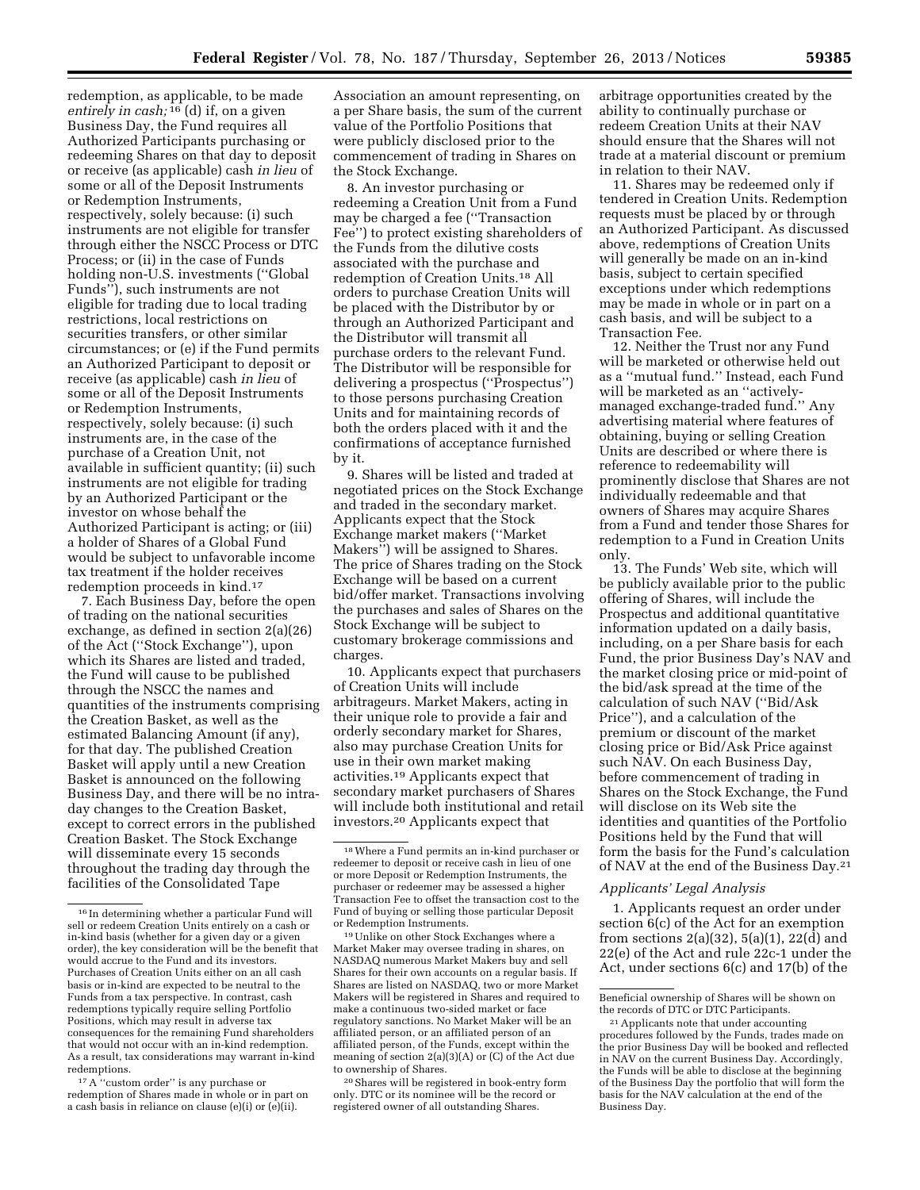redemption, as applicable, to be made *entirely in cash;* 16 (d) if, on a given Business Day, the Fund requires all Authorized Participants purchasing or redeeming Shares on that day to deposit or receive (as applicable) cash *in lieu* of some or all of the Deposit Instruments or Redemption Instruments, respectively, solely because: (i) such instruments are not eligible for transfer through either the NSCC Process or DTC Process; or (ii) in the case of Funds holding non-U.S. investments (''Global Funds''), such instruments are not eligible for trading due to local trading restrictions, local restrictions on securities transfers, or other similar circumstances; or (e) if the Fund permits an Authorized Participant to deposit or receive (as applicable) cash *in lieu* of some or all of the Deposit Instruments or Redemption Instruments, respectively, solely because: (i) such instruments are, in the case of the purchase of a Creation Unit, not available in sufficient quantity; (ii) such instruments are not eligible for trading by an Authorized Participant or the investor on whose behalf the Authorized Participant is acting; or (iii) a holder of Shares of a Global Fund would be subject to unfavorable income tax treatment if the holder receives redemption proceeds in kind.17

7. Each Business Day, before the open of trading on the national securities exchange, as defined in section 2(a)(26) of the Act (''Stock Exchange''), upon which its Shares are listed and traded, the Fund will cause to be published through the NSCC the names and quantities of the instruments comprising the Creation Basket, as well as the estimated Balancing Amount (if any), for that day. The published Creation Basket will apply until a new Creation Basket is announced on the following Business Day, and there will be no intraday changes to the Creation Basket, except to correct errors in the published Creation Basket. The Stock Exchange will disseminate every 15 seconds throughout the trading day through the facilities of the Consolidated Tape

Association an amount representing, on a per Share basis, the sum of the current value of the Portfolio Positions that were publicly disclosed prior to the commencement of trading in Shares on the Stock Exchange.

8. An investor purchasing or redeeming a Creation Unit from a Fund may be charged a fee (''Transaction Fee'') to protect existing shareholders of the Funds from the dilutive costs associated with the purchase and redemption of Creation Units.18 All orders to purchase Creation Units will be placed with the Distributor by or through an Authorized Participant and the Distributor will transmit all purchase orders to the relevant Fund. The Distributor will be responsible for delivering a prospectus (''Prospectus'') to those persons purchasing Creation Units and for maintaining records of both the orders placed with it and the confirmations of acceptance furnished by it.

9. Shares will be listed and traded at negotiated prices on the Stock Exchange and traded in the secondary market. Applicants expect that the Stock Exchange market makers (''Market Makers'') will be assigned to Shares. The price of Shares trading on the Stock Exchange will be based on a current bid/offer market. Transactions involving the purchases and sales of Shares on the Stock Exchange will be subject to customary brokerage commissions and charges.

10. Applicants expect that purchasers of Creation Units will include arbitrageurs. Market Makers, acting in their unique role to provide a fair and orderly secondary market for Shares, also may purchase Creation Units for use in their own market making activities.19 Applicants expect that secondary market purchasers of Shares will include both institutional and retail investors.20 Applicants expect that

19Unlike on other Stock Exchanges where a Market Maker may oversee trading in shares, on NASDAQ numerous Market Makers buy and sell Shares for their own accounts on a regular basis. If Shares are listed on NASDAQ, two or more Market Makers will be registered in Shares and required to make a continuous two-sided market or face regulatory sanctions. No Market Maker will be an affiliated person, or an affiliated person of an affiliated person, of the Funds, except within the meaning of section 2(a)(3)(A) or (C) of the Act due to ownership of Shares.

20Shares will be registered in book-entry form only. DTC or its nominee will be the record or registered owner of all outstanding Shares.

arbitrage opportunities created by the ability to continually purchase or redeem Creation Units at their NAV should ensure that the Shares will not trade at a material discount or premium in relation to their NAV.

11. Shares may be redeemed only if tendered in Creation Units. Redemption requests must be placed by or through an Authorized Participant. As discussed above, redemptions of Creation Units will generally be made on an in-kind basis, subject to certain specified exceptions under which redemptions may be made in whole or in part on a cash basis, and will be subject to a Transaction Fee.

12. Neither the Trust nor any Fund will be marketed or otherwise held out as a ''mutual fund.'' Instead, each Fund will be marketed as an "activelymanaged exchange-traded fund.'' Any advertising material where features of obtaining, buying or selling Creation Units are described or where there is reference to redeemability will prominently disclose that Shares are not individually redeemable and that owners of Shares may acquire Shares from a Fund and tender those Shares for redemption to a Fund in Creation Units only.

13. The Funds' Web site, which will be publicly available prior to the public offering of Shares, will include the Prospectus and additional quantitative information updated on a daily basis, including, on a per Share basis for each Fund, the prior Business Day's NAV and the market closing price or mid-point of the bid/ask spread at the time of the calculation of such NAV (''Bid/Ask Price''), and a calculation of the premium or discount of the market closing price or Bid/Ask Price against such NAV. On each Business Day, before commencement of trading in Shares on the Stock Exchange, the Fund will disclose on its Web site the identities and quantities of the Portfolio Positions held by the Fund that will form the basis for the Fund's calculation of NAV at the end of the Business Day.21

## *Applicants' Legal Analysis*

1. Applicants request an order under section 6(c) of the Act for an exemption from sections  $2(a)(32)$ ,  $5(a)(1)$ ,  $22(d)$  and 22(e) of the Act and rule 22c-1 under the Act, under sections 6(c) and 17(b) of the

Beneficial ownership of Shares will be shown on the records of DTC or DTC Participants.

<sup>16</sup> In determining whether a particular Fund will sell or redeem Creation Units entirely on a cash or in-kind basis (whether for a given day or a given order), the key consideration will be the benefit that would accrue to the Fund and its investors. Purchases of Creation Units either on an all cash basis or in-kind are expected to be neutral to the Funds from a tax perspective. In contrast, cash redemptions typically require selling Portfolio Positions, which may result in adverse tax consequences for the remaining Fund shareholders that would not occur with an in-kind redemption. As a result, tax considerations may warrant in-kind redemptions.

<sup>&</sup>lt;sup>17</sup> A "custom order" is any purchase or redemption of Shares made in whole or in part on a cash basis in reliance on clause (e)(i) or (e)(ii).

<sup>18</sup>Where a Fund permits an in-kind purchaser or redeemer to deposit or receive cash in lieu of one or more Deposit or Redemption Instruments, the purchaser or redeemer may be assessed a higher Transaction Fee to offset the transaction cost to the Fund of buying or selling those particular Deposit or Redemption Instruments.

<sup>21</sup>Applicants note that under accounting procedures followed by the Funds, trades made on the prior Business Day will be booked and reflected in NAV on the current Business Day. Accordingly, the Funds will be able to disclose at the beginning of the Business Day the portfolio that will form the basis for the NAV calculation at the end of the Business Day.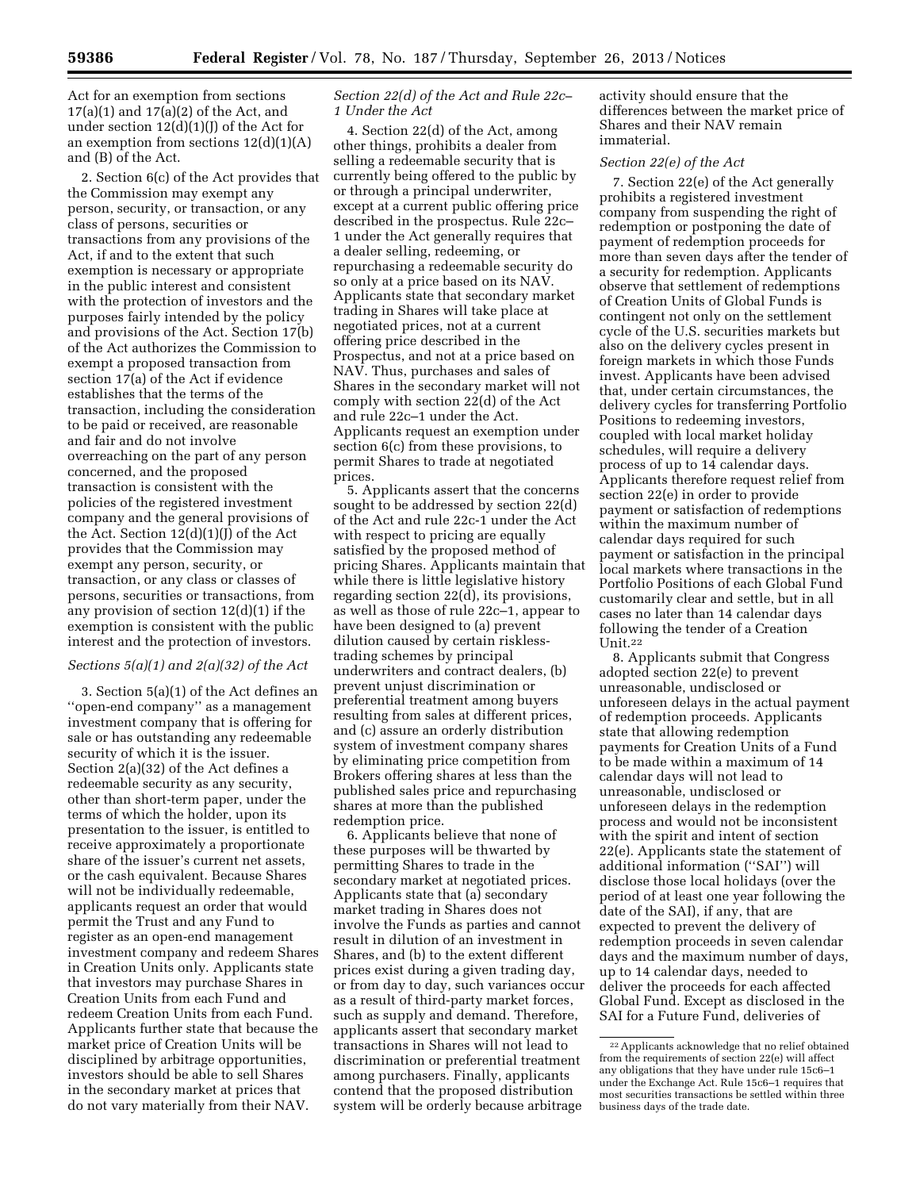Act for an exemption from sections  $17(a)(1)$  and  $17(a)(2)$  of the Act, and under section  $12(d)(1)(J)$  of the Act for an exemption from sections  $12(d)(1)(A)$ and (B) of the Act.

2. Section 6(c) of the Act provides that the Commission may exempt any person, security, or transaction, or any class of persons, securities or transactions from any provisions of the Act, if and to the extent that such exemption is necessary or appropriate in the public interest and consistent with the protection of investors and the purposes fairly intended by the policy and provisions of the Act. Section 17(b) of the Act authorizes the Commission to exempt a proposed transaction from section 17(a) of the Act if evidence establishes that the terms of the transaction, including the consideration to be paid or received, are reasonable and fair and do not involve overreaching on the part of any person concerned, and the proposed transaction is consistent with the policies of the registered investment company and the general provisions of the Act. Section 12(d)(1)(J) of the Act provides that the Commission may exempt any person, security, or transaction, or any class or classes of persons, securities or transactions, from any provision of section 12(d)(1) if the exemption is consistent with the public interest and the protection of investors.

#### *Sections 5(a)(1) and 2(a)(32) of the Act*

3. Section 5(a)(1) of the Act defines an ''open-end company'' as a management investment company that is offering for sale or has outstanding any redeemable security of which it is the issuer. Section 2(a)(32) of the Act defines a redeemable security as any security, other than short-term paper, under the terms of which the holder, upon its presentation to the issuer, is entitled to receive approximately a proportionate share of the issuer's current net assets, or the cash equivalent. Because Shares will not be individually redeemable, applicants request an order that would permit the Trust and any Fund to register as an open-end management investment company and redeem Shares in Creation Units only. Applicants state that investors may purchase Shares in Creation Units from each Fund and redeem Creation Units from each Fund. Applicants further state that because the market price of Creation Units will be disciplined by arbitrage opportunities, investors should be able to sell Shares in the secondary market at prices that do not vary materially from their NAV.

## *Section 22(d) of the Act and Rule 22c– 1 Under the Act*

4. Section 22(d) of the Act, among other things, prohibits a dealer from selling a redeemable security that is currently being offered to the public by or through a principal underwriter, except at a current public offering price described in the prospectus. Rule 22c– 1 under the Act generally requires that a dealer selling, redeeming, or repurchasing a redeemable security do so only at a price based on its NAV. Applicants state that secondary market trading in Shares will take place at negotiated prices, not at a current offering price described in the Prospectus, and not at a price based on NAV. Thus, purchases and sales of Shares in the secondary market will not comply with section 22(d) of the Act and rule 22c–1 under the Act. Applicants request an exemption under section 6(c) from these provisions, to permit Shares to trade at negotiated prices.

5. Applicants assert that the concerns sought to be addressed by section 22(d) of the Act and rule 22c-1 under the Act with respect to pricing are equally satisfied by the proposed method of pricing Shares. Applicants maintain that while there is little legislative history regarding section 22(d), its provisions, as well as those of rule 22c–1, appear to have been designed to (a) prevent dilution caused by certain risklesstrading schemes by principal underwriters and contract dealers, (b) prevent unjust discrimination or preferential treatment among buyers resulting from sales at different prices, and (c) assure an orderly distribution system of investment company shares by eliminating price competition from Brokers offering shares at less than the published sales price and repurchasing shares at more than the published redemption price.

6. Applicants believe that none of these purposes will be thwarted by permitting Shares to trade in the secondary market at negotiated prices. Applicants state that (a) secondary market trading in Shares does not involve the Funds as parties and cannot result in dilution of an investment in Shares, and (b) to the extent different prices exist during a given trading day, or from day to day, such variances occur as a result of third-party market forces, such as supply and demand. Therefore, applicants assert that secondary market transactions in Shares will not lead to discrimination or preferential treatment among purchasers. Finally, applicants contend that the proposed distribution system will be orderly because arbitrage

activity should ensure that the differences between the market price of Shares and their NAV remain immaterial.

#### *Section 22(e) of the Act*

7. Section 22(e) of the Act generally prohibits a registered investment company from suspending the right of redemption or postponing the date of payment of redemption proceeds for more than seven days after the tender of a security for redemption. Applicants observe that settlement of redemptions of Creation Units of Global Funds is contingent not only on the settlement cycle of the U.S. securities markets but also on the delivery cycles present in foreign markets in which those Funds invest. Applicants have been advised that, under certain circumstances, the delivery cycles for transferring Portfolio Positions to redeeming investors, coupled with local market holiday schedules, will require a delivery process of up to 14 calendar days. Applicants therefore request relief from section 22(e) in order to provide payment or satisfaction of redemptions within the maximum number of calendar days required for such payment or satisfaction in the principal local markets where transactions in the Portfolio Positions of each Global Fund customarily clear and settle, but in all cases no later than 14 calendar days following the tender of a Creation Unit.22

8. Applicants submit that Congress adopted section 22(e) to prevent unreasonable, undisclosed or unforeseen delays in the actual payment of redemption proceeds. Applicants state that allowing redemption payments for Creation Units of a Fund to be made within a maximum of 14 calendar days will not lead to unreasonable, undisclosed or unforeseen delays in the redemption process and would not be inconsistent with the spirit and intent of section 22(e). Applicants state the statement of additional information (''SAI'') will disclose those local holidays (over the period of at least one year following the date of the SAI), if any, that are expected to prevent the delivery of redemption proceeds in seven calendar days and the maximum number of days, up to 14 calendar days, needed to deliver the proceeds for each affected Global Fund. Except as disclosed in the SAI for a Future Fund, deliveries of

<sup>22</sup>Applicants acknowledge that no relief obtained from the requirements of section 22(e) will affect any obligations that they have under rule 15c6–1 under the Exchange Act. Rule 15c6–1 requires that most securities transactions be settled within three business days of the trade date.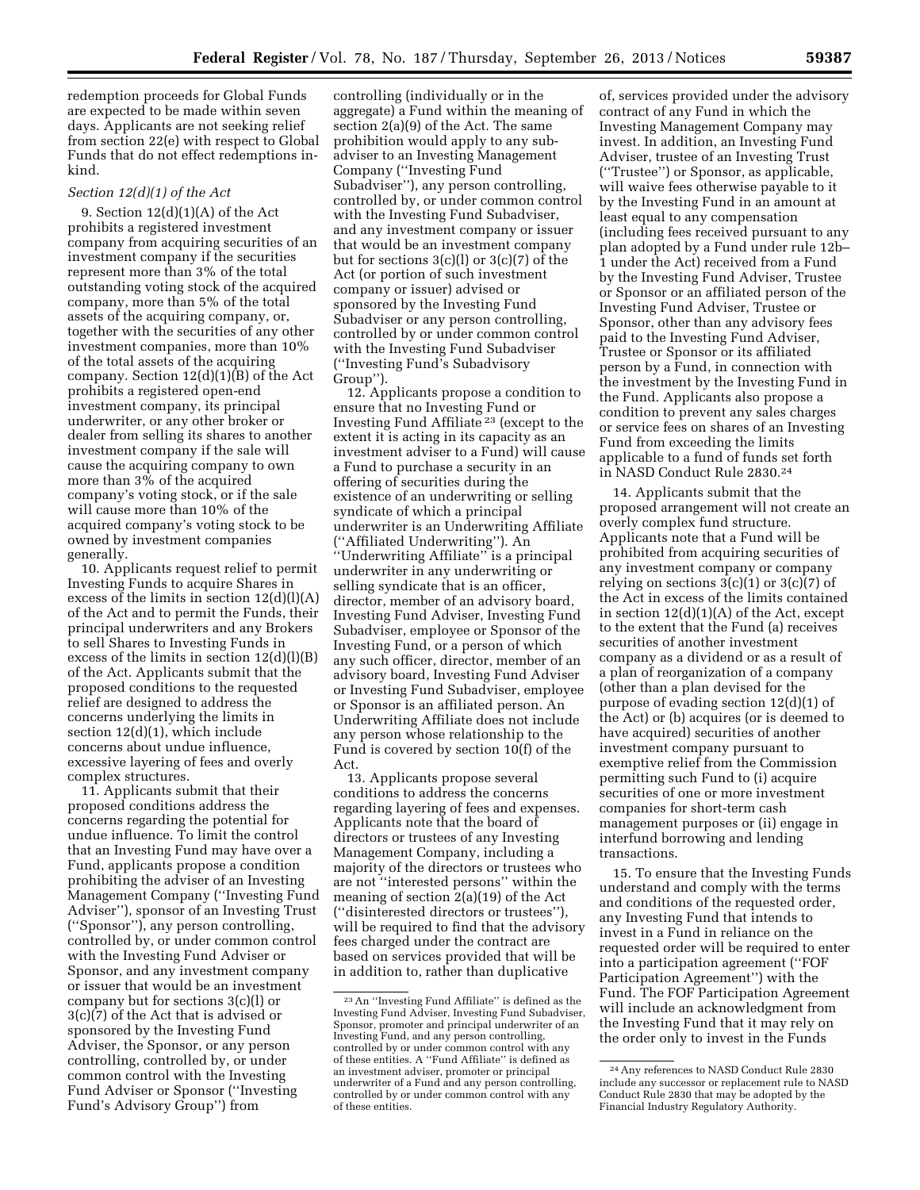redemption proceeds for Global Funds are expected to be made within seven days. Applicants are not seeking relief from section 22(e) with respect to Global Funds that do not effect redemptions inkind.

## *Section 12(d)(1) of the Act*

9. Section 12(d)(1)(A) of the Act prohibits a registered investment company from acquiring securities of an investment company if the securities represent more than 3% of the total outstanding voting stock of the acquired company, more than 5% of the total assets of the acquiring company, or, together with the securities of any other investment companies, more than 10% of the total assets of the acquiring company. Section 12(d)(1)(B) of the Act prohibits a registered open-end investment company, its principal underwriter, or any other broker or dealer from selling its shares to another investment company if the sale will cause the acquiring company to own more than 3% of the acquired company's voting stock, or if the sale will cause more than 10% of the acquired company's voting stock to be owned by investment companies generally.

10. Applicants request relief to permit Investing Funds to acquire Shares in excess of the limits in section  $12(d)(l)(A)$ of the Act and to permit the Funds, their principal underwriters and any Brokers to sell Shares to Investing Funds in excess of the limits in section 12(d)(l)(B) of the Act. Applicants submit that the proposed conditions to the requested relief are designed to address the concerns underlying the limits in section 12(d)(1), which include concerns about undue influence, excessive layering of fees and overly complex structures.

11. Applicants submit that their proposed conditions address the concerns regarding the potential for undue influence. To limit the control that an Investing Fund may have over a Fund, applicants propose a condition prohibiting the adviser of an Investing Management Company (''Investing Fund Adviser''), sponsor of an Investing Trust (''Sponsor''), any person controlling, controlled by, or under common control with the Investing Fund Adviser or Sponsor, and any investment company or issuer that would be an investment company but for sections 3(c)(l) or 3(c)(7) of the Act that is advised or sponsored by the Investing Fund Adviser, the Sponsor, or any person controlling, controlled by, or under common control with the Investing Fund Adviser or Sponsor (''Investing Fund's Advisory Group'') from

controlling (individually or in the aggregate) a Fund within the meaning of section 2(a)(9) of the Act. The same prohibition would apply to any subadviser to an Investing Management Company (''Investing Fund Subadviser''), any person controlling, controlled by, or under common control with the Investing Fund Subadviser, and any investment company or issuer that would be an investment company but for sections 3(c)(l) or 3(c)(7) of the Act (or portion of such investment company or issuer) advised or sponsored by the Investing Fund Subadviser or any person controlling, controlled by or under common control with the Investing Fund Subadviser (''Investing Fund's Subadvisory Group'').

12. Applicants propose a condition to ensure that no Investing Fund or Investing Fund Affiliate 23 (except to the extent it is acting in its capacity as an investment adviser to a Fund) will cause a Fund to purchase a security in an offering of securities during the existence of an underwriting or selling syndicate of which a principal underwriter is an Underwriting Affiliate (''Affiliated Underwriting''). An ''Underwriting Affiliate'' is a principal underwriter in any underwriting or selling syndicate that is an officer, director, member of an advisory board, Investing Fund Adviser, Investing Fund Subadviser, employee or Sponsor of the Investing Fund, or a person of which any such officer, director, member of an advisory board, Investing Fund Adviser or Investing Fund Subadviser, employee or Sponsor is an affiliated person. An Underwriting Affiliate does not include any person whose relationship to the Fund is covered by section 10(f) of the Act.

13. Applicants propose several conditions to address the concerns regarding layering of fees and expenses. Applicants note that the board of directors or trustees of any Investing Management Company, including a majority of the directors or trustees who are not ''interested persons'' within the meaning of section 2(a)(19) of the Act (''disinterested directors or trustees''), will be required to find that the advisory fees charged under the contract are based on services provided that will be in addition to, rather than duplicative

of, services provided under the advisory contract of any Fund in which the Investing Management Company may invest. In addition, an Investing Fund Adviser, trustee of an Investing Trust (''Trustee'') or Sponsor, as applicable, will waive fees otherwise payable to it by the Investing Fund in an amount at least equal to any compensation (including fees received pursuant to any plan adopted by a Fund under rule 12b– 1 under the Act) received from a Fund by the Investing Fund Adviser, Trustee or Sponsor or an affiliated person of the Investing Fund Adviser, Trustee or Sponsor, other than any advisory fees paid to the Investing Fund Adviser, Trustee or Sponsor or its affiliated person by a Fund, in connection with the investment by the Investing Fund in the Fund. Applicants also propose a condition to prevent any sales charges or service fees on shares of an Investing Fund from exceeding the limits applicable to a fund of funds set forth in NASD Conduct Rule 2830.24

14. Applicants submit that the proposed arrangement will not create an overly complex fund structure. Applicants note that a Fund will be prohibited from acquiring securities of any investment company or company relying on sections  $3(c)(1)$  or  $3(c)(7)$  of the Act in excess of the limits contained in section 12(d)(1)(A) of the Act, except to the extent that the Fund (a) receives securities of another investment company as a dividend or as a result of a plan of reorganization of a company (other than a plan devised for the purpose of evading section 12(d)(1) of the Act) or (b) acquires (or is deemed to have acquired) securities of another investment company pursuant to exemptive relief from the Commission permitting such Fund to (i) acquire securities of one or more investment companies for short-term cash management purposes or (ii) engage in interfund borrowing and lending transactions.

15. To ensure that the Investing Funds understand and comply with the terms and conditions of the requested order, any Investing Fund that intends to invest in a Fund in reliance on the requested order will be required to enter into a participation agreement (''FOF Participation Agreement'') with the Fund. The FOF Participation Agreement will include an acknowledgment from the Investing Fund that it may rely on the order only to invest in the Funds

<sup>23</sup>An ''Investing Fund Affiliate'' is defined as the Investing Fund Adviser, Investing Fund Subadviser, Sponsor, promoter and principal underwriter of an Investing Fund, and any person controlling, controlled by or under common control with any of these entities. A ''Fund Affiliate'' is defined as an investment adviser, promoter or principal underwriter of a Fund and any person controlling, controlled by or under common control with any of these entities.

<sup>24</sup>Any references to NASD Conduct Rule 2830 include any successor or replacement rule to NASD Conduct Rule 2830 that may be adopted by the Financial Industry Regulatory Authority.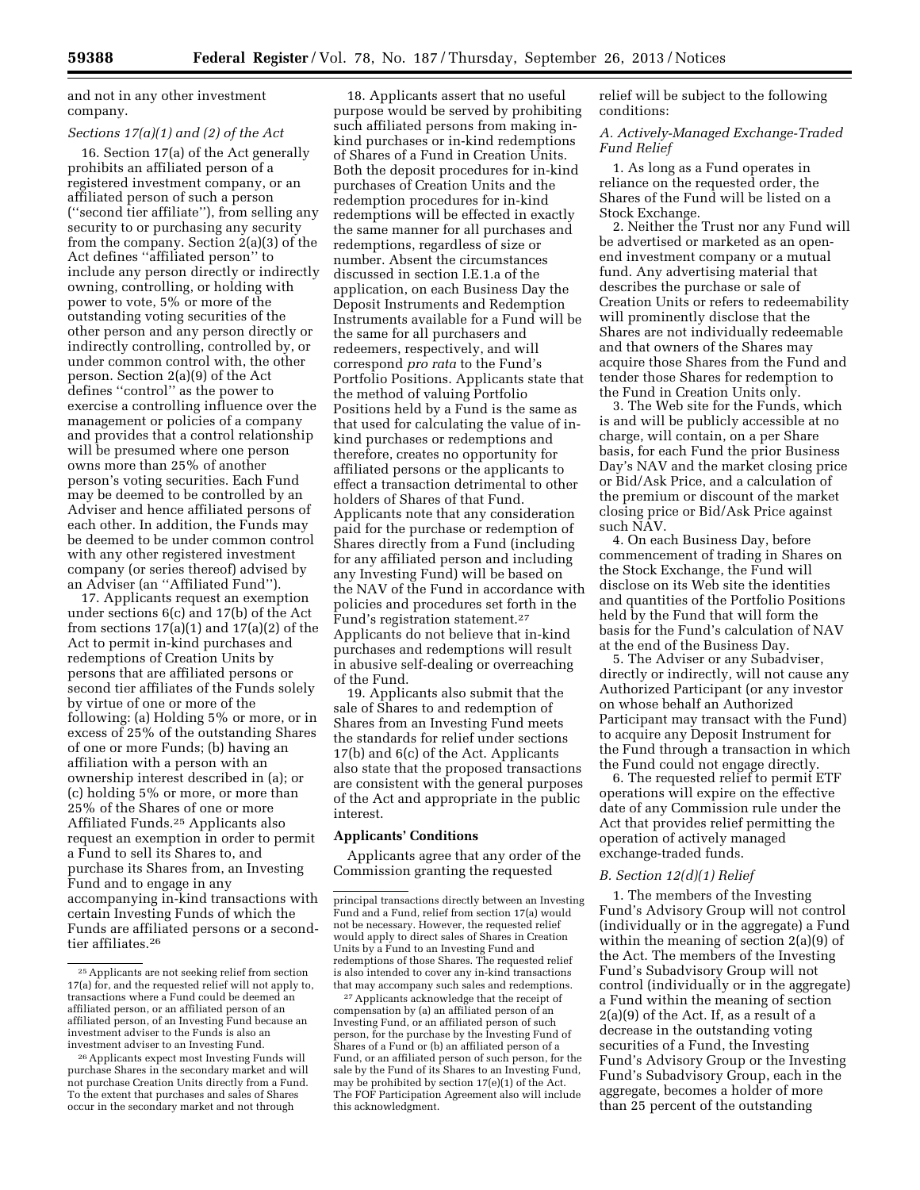and not in any other investment company.

# *Sections 17(a)(1) and (2) of the Act*

16. Section 17(a) of the Act generally prohibits an affiliated person of a registered investment company, or an affiliated person of such a person (''second tier affiliate''), from selling any security to or purchasing any security from the company. Section 2(a)(3) of the Act defines ''affiliated person'' to include any person directly or indirectly owning, controlling, or holding with power to vote, 5% or more of the outstanding voting securities of the other person and any person directly or indirectly controlling, controlled by, or under common control with, the other person. Section 2(a)(9) of the Act defines ''control'' as the power to exercise a controlling influence over the management or policies of a company and provides that a control relationship will be presumed where one person owns more than 25% of another person's voting securities. Each Fund may be deemed to be controlled by an Adviser and hence affiliated persons of each other. In addition, the Funds may be deemed to be under common control with any other registered investment company (or series thereof) advised by an Adviser (an ''Affiliated Fund'').

17. Applicants request an exemption under sections 6(c) and 17(b) of the Act from sections  $17(a)(1)$  and  $17(a)(2)$  of the Act to permit in-kind purchases and redemptions of Creation Units by persons that are affiliated persons or second tier affiliates of the Funds solely by virtue of one or more of the following: (a) Holding 5% or more, or in excess of 25% of the outstanding Shares of one or more Funds; (b) having an affiliation with a person with an ownership interest described in (a); or (c) holding 5% or more, or more than 25% of the Shares of one or more Affiliated Funds.25 Applicants also request an exemption in order to permit a Fund to sell its Shares to, and purchase its Shares from, an Investing Fund and to engage in any accompanying in-kind transactions with certain Investing Funds of which the Funds are affiliated persons or a secondtier affiliates.26

18. Applicants assert that no useful purpose would be served by prohibiting such affiliated persons from making inkind purchases or in-kind redemptions of Shares of a Fund in Creation Units. Both the deposit procedures for in-kind purchases of Creation Units and the redemption procedures for in-kind redemptions will be effected in exactly the same manner for all purchases and redemptions, regardless of size or number. Absent the circumstances discussed in section I.E.1.a of the application, on each Business Day the Deposit Instruments and Redemption Instruments available for a Fund will be the same for all purchasers and redeemers, respectively, and will correspond *pro rata* to the Fund's Portfolio Positions. Applicants state that the method of valuing Portfolio Positions held by a Fund is the same as that used for calculating the value of inkind purchases or redemptions and therefore, creates no opportunity for affiliated persons or the applicants to effect a transaction detrimental to other holders of Shares of that Fund. Applicants note that any consideration paid for the purchase or redemption of Shares directly from a Fund (including for any affiliated person and including any Investing Fund) will be based on the NAV of the Fund in accordance with policies and procedures set forth in the Fund's registration statement.27 Applicants do not believe that in-kind purchases and redemptions will result in abusive self-dealing or overreaching of the Fund.

19. Applicants also submit that the sale of Shares to and redemption of Shares from an Investing Fund meets the standards for relief under sections 17(b) and 6(c) of the Act. Applicants also state that the proposed transactions are consistent with the general purposes of the Act and appropriate in the public interest.

## **Applicants' Conditions**

Applicants agree that any order of the Commission granting the requested

27Applicants acknowledge that the receipt of compensation by (a) an affiliated person of an Investing Fund, or an affiliated person of such person, for the purchase by the Investing Fund of Shares of a Fund or (b) an affiliated person of a Fund, or an affiliated person of such person, for the sale by the Fund of its Shares to an Investing Fund, may be prohibited by section 17(e)(1) of the Act. The FOF Participation Agreement also will include this acknowledgment.

relief will be subject to the following conditions:

*A. Actively-Managed Exchange-Traded Fund Relief* 

1. As long as a Fund operates in reliance on the requested order, the Shares of the Fund will be listed on a Stock Exchange.

2. Neither the Trust nor any Fund will be advertised or marketed as an openend investment company or a mutual fund. Any advertising material that describes the purchase or sale of Creation Units or refers to redeemability will prominently disclose that the Shares are not individually redeemable and that owners of the Shares may acquire those Shares from the Fund and tender those Shares for redemption to the Fund in Creation Units only.

3. The Web site for the Funds, which is and will be publicly accessible at no charge, will contain, on a per Share basis, for each Fund the prior Business Day's NAV and the market closing price or Bid/Ask Price, and a calculation of the premium or discount of the market closing price or Bid/Ask Price against such NAV.

4. On each Business Day, before commencement of trading in Shares on the Stock Exchange, the Fund will disclose on its Web site the identities and quantities of the Portfolio Positions held by the Fund that will form the basis for the Fund's calculation of NAV at the end of the Business Day.

5. The Adviser or any Subadviser, directly or indirectly, will not cause any Authorized Participant (or any investor on whose behalf an Authorized Participant may transact with the Fund) to acquire any Deposit Instrument for the Fund through a transaction in which the Fund could not engage directly.

6. The requested relief to permit ETF operations will expire on the effective date of any Commission rule under the Act that provides relief permitting the operation of actively managed exchange-traded funds.

#### *B. Section 12(d)(1) Relief*

1. The members of the Investing Fund's Advisory Group will not control (individually or in the aggregate) a Fund within the meaning of section 2(a)(9) of the Act. The members of the Investing Fund's Subadvisory Group will not control (individually or in the aggregate) a Fund within the meaning of section 2(a)(9) of the Act. If, as a result of a decrease in the outstanding voting securities of a Fund, the Investing Fund's Advisory Group or the Investing Fund's Subadvisory Group, each in the aggregate, becomes a holder of more than 25 percent of the outstanding

 $^{\rm 25}$  Applicants are not seeking relief from section 17(a) for, and the requested relief will not apply to, transactions where a Fund could be deemed an affiliated person, or an affiliated person of an affiliated person, of an Investing Fund because an investment adviser to the Funds is also an investment adviser to an Investing Fund.

<sup>26</sup>Applicants expect most Investing Funds will purchase Shares in the secondary market and will not purchase Creation Units directly from a Fund. To the extent that purchases and sales of Shares occur in the secondary market and not through

principal transactions directly between an Investing Fund and a Fund, relief from section 17(a) would not be necessary. However, the requested relief would apply to direct sales of Shares in Creation Units by a Fund to an Investing Fund and redemptions of those Shares. The requested relief is also intended to cover any in-kind transactions that may accompany such sales and redemptions.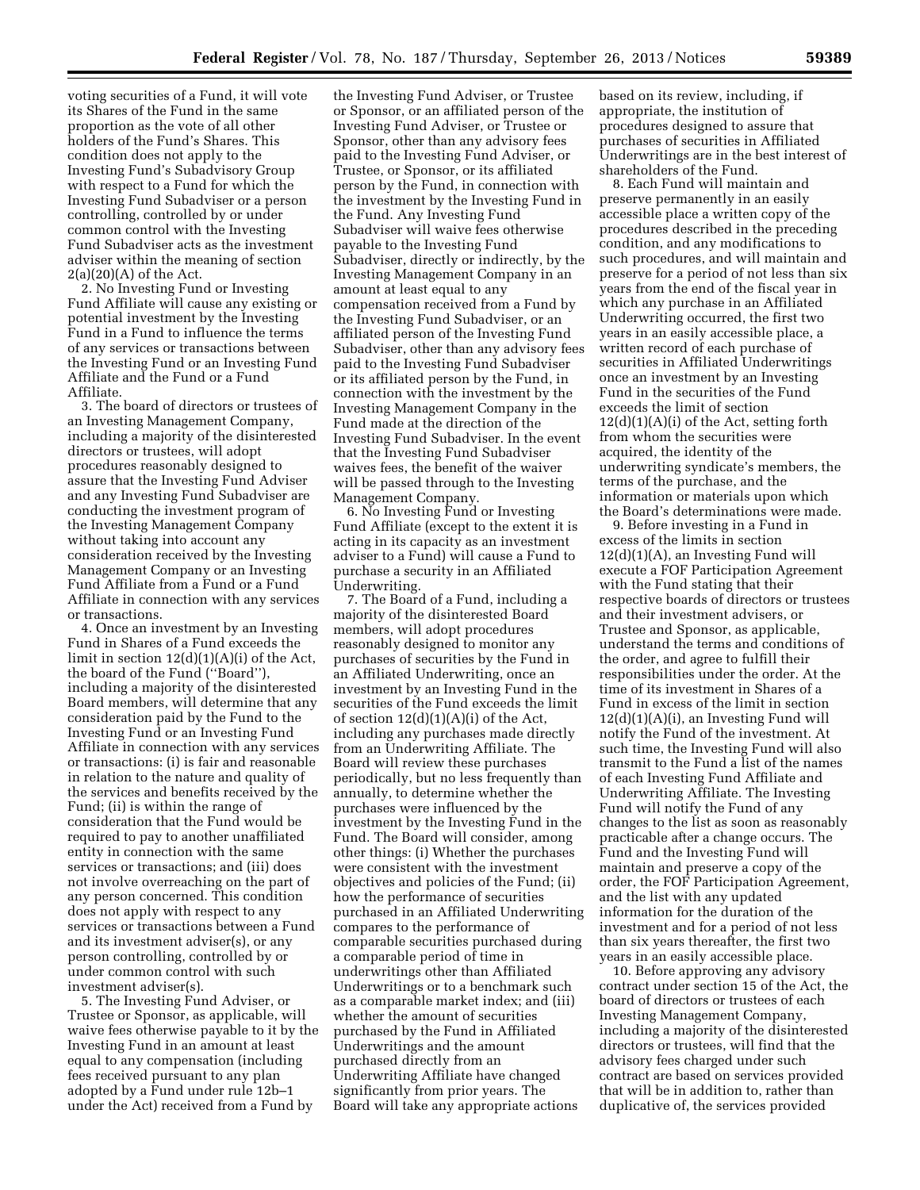voting securities of a Fund, it will vote its Shares of the Fund in the same proportion as the vote of all other holders of the Fund's Shares. This condition does not apply to the Investing Fund's Subadvisory Group with respect to a Fund for which the Investing Fund Subadviser or a person controlling, controlled by or under common control with the Investing Fund Subadviser acts as the investment adviser within the meaning of section  $2(a)(20)(A)$  of the Act.

2. No Investing Fund or Investing Fund Affiliate will cause any existing or potential investment by the Investing Fund in a Fund to influence the terms of any services or transactions between the Investing Fund or an Investing Fund Affiliate and the Fund or a Fund Affiliate.

3. The board of directors or trustees of an Investing Management Company, including a majority of the disinterested directors or trustees, will adopt procedures reasonably designed to assure that the Investing Fund Adviser and any Investing Fund Subadviser are conducting the investment program of the Investing Management Company without taking into account any consideration received by the Investing Management Company or an Investing Fund Affiliate from a Fund or a Fund Affiliate in connection with any services or transactions.

4. Once an investment by an Investing Fund in Shares of a Fund exceeds the limit in section  $12(d)(1)(A)(i)$  of the Act, the board of the Fund (''Board''), including a majority of the disinterested Board members, will determine that any consideration paid by the Fund to the Investing Fund or an Investing Fund Affiliate in connection with any services or transactions: (i) is fair and reasonable in relation to the nature and quality of the services and benefits received by the Fund; (ii) is within the range of consideration that the Fund would be required to pay to another unaffiliated entity in connection with the same services or transactions; and (iii) does not involve overreaching on the part of any person concerned. This condition does not apply with respect to any services or transactions between a Fund and its investment adviser(s), or any person controlling, controlled by or under common control with such investment adviser(s).

5. The Investing Fund Adviser, or Trustee or Sponsor, as applicable, will waive fees otherwise payable to it by the Investing Fund in an amount at least equal to any compensation (including fees received pursuant to any plan adopted by a Fund under rule 12b–1 under the Act) received from a Fund by

the Investing Fund Adviser, or Trustee or Sponsor, or an affiliated person of the Investing Fund Adviser, or Trustee or Sponsor, other than any advisory fees paid to the Investing Fund Adviser, or Trustee, or Sponsor, or its affiliated person by the Fund, in connection with the investment by the Investing Fund in the Fund. Any Investing Fund Subadviser will waive fees otherwise payable to the Investing Fund Subadviser, directly or indirectly, by the Investing Management Company in an amount at least equal to any compensation received from a Fund by the Investing Fund Subadviser, or an affiliated person of the Investing Fund Subadviser, other than any advisory fees paid to the Investing Fund Subadviser or its affiliated person by the Fund, in connection with the investment by the Investing Management Company in the Fund made at the direction of the Investing Fund Subadviser. In the event that the Investing Fund Subadviser waives fees, the benefit of the waiver will be passed through to the Investing Management Company.

6. No Investing Fund or Investing Fund Affiliate (except to the extent it is acting in its capacity as an investment adviser to a Fund) will cause a Fund to purchase a security in an Affiliated Underwriting.

7. The Board of a Fund, including a majority of the disinterested Board members, will adopt procedures reasonably designed to monitor any purchases of securities by the Fund in an Affiliated Underwriting, once an investment by an Investing Fund in the securities of the Fund exceeds the limit of section  $12(d)(1)(A)(i)$  of the Act, including any purchases made directly from an Underwriting Affiliate. The Board will review these purchases periodically, but no less frequently than annually, to determine whether the purchases were influenced by the investment by the Investing Fund in the Fund. The Board will consider, among other things: (i) Whether the purchases were consistent with the investment objectives and policies of the Fund; (ii) how the performance of securities purchased in an Affiliated Underwriting compares to the performance of comparable securities purchased during a comparable period of time in underwritings other than Affiliated Underwritings or to a benchmark such as a comparable market index; and (iii) whether the amount of securities purchased by the Fund in Affiliated Underwritings and the amount purchased directly from an Underwriting Affiliate have changed significantly from prior years. The Board will take any appropriate actions

based on its review, including, if appropriate, the institution of procedures designed to assure that purchases of securities in Affiliated Underwritings are in the best interest of shareholders of the Fund.

8. Each Fund will maintain and preserve permanently in an easily accessible place a written copy of the procedures described in the preceding condition, and any modifications to such procedures, and will maintain and preserve for a period of not less than six years from the end of the fiscal year in which any purchase in an Affiliated Underwriting occurred, the first two years in an easily accessible place, a written record of each purchase of securities in Affiliated Underwritings once an investment by an Investing Fund in the securities of the Fund exceeds the limit of section  $12(d)(1)(A)(i)$  of the Act, setting forth from whom the securities were acquired, the identity of the underwriting syndicate's members, the terms of the purchase, and the information or materials upon which the Board's determinations were made.

9. Before investing in a Fund in excess of the limits in section 12(d)(1)(A), an Investing Fund will execute a FOF Participation Agreement with the Fund stating that their respective boards of directors or trustees and their investment advisers, or Trustee and Sponsor, as applicable, understand the terms and conditions of the order, and agree to fulfill their responsibilities under the order. At the time of its investment in Shares of a Fund in excess of the limit in section  $12(d)(1)(A)(i)$ , an Investing Fund will notify the Fund of the investment. At such time, the Investing Fund will also transmit to the Fund a list of the names of each Investing Fund Affiliate and Underwriting Affiliate. The Investing Fund will notify the Fund of any changes to the list as soon as reasonably practicable after a change occurs. The Fund and the Investing Fund will maintain and preserve a copy of the order, the FOF Participation Agreement, and the list with any updated information for the duration of the investment and for a period of not less than six years thereafter, the first two years in an easily accessible place.

10. Before approving any advisory contract under section 15 of the Act, the board of directors or trustees of each Investing Management Company, including a majority of the disinterested directors or trustees, will find that the advisory fees charged under such contract are based on services provided that will be in addition to, rather than duplicative of, the services provided